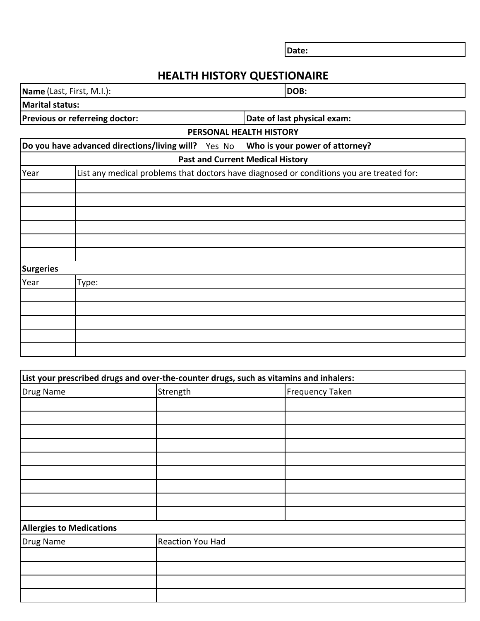**Date:**

## **HEALTH HISTORY QUESTIONAIRE**

| Name (Last, First, M.I.): |  |  |  |  |
|---------------------------|--|--|--|--|
|---------------------------|--|--|--|--|

**DOB:**

**Marital status:**

**Previous or referreing doctor:**

**Date of last physical exam: PERSONAL HEALTH HISTORY**

| Do you have advanced directions/living will? Yes No<br>Who is your power of attorney? |                                                                                          |  |  |  |
|---------------------------------------------------------------------------------------|------------------------------------------------------------------------------------------|--|--|--|
| <b>Past and Current Medical History</b>                                               |                                                                                          |  |  |  |
| Year                                                                                  | List any medical problems that doctors have diagnosed or conditions you are treated for: |  |  |  |
|                                                                                       |                                                                                          |  |  |  |
|                                                                                       |                                                                                          |  |  |  |
|                                                                                       |                                                                                          |  |  |  |
|                                                                                       |                                                                                          |  |  |  |
|                                                                                       |                                                                                          |  |  |  |
|                                                                                       |                                                                                          |  |  |  |
| <b>Surgeries</b>                                                                      |                                                                                          |  |  |  |
| Year                                                                                  | Type:                                                                                    |  |  |  |
|                                                                                       |                                                                                          |  |  |  |
|                                                                                       |                                                                                          |  |  |  |
|                                                                                       |                                                                                          |  |  |  |
|                                                                                       |                                                                                          |  |  |  |
|                                                                                       |                                                                                          |  |  |  |

| List your prescribed drugs and over-the-counter drugs, such as vitamins and inhalers: |                  |                 |  |
|---------------------------------------------------------------------------------------|------------------|-----------------|--|
| Drug Name                                                                             | Strength         | Frequency Taken |  |
|                                                                                       |                  |                 |  |
|                                                                                       |                  |                 |  |
|                                                                                       |                  |                 |  |
|                                                                                       |                  |                 |  |
|                                                                                       |                  |                 |  |
|                                                                                       |                  |                 |  |
|                                                                                       |                  |                 |  |
|                                                                                       |                  |                 |  |
|                                                                                       |                  |                 |  |
| <b>Allergies to Medications</b>                                                       |                  |                 |  |
| <b>Drug Name</b>                                                                      | Reaction You Had |                 |  |
|                                                                                       |                  |                 |  |
|                                                                                       |                  |                 |  |
|                                                                                       |                  |                 |  |
|                                                                                       |                  |                 |  |